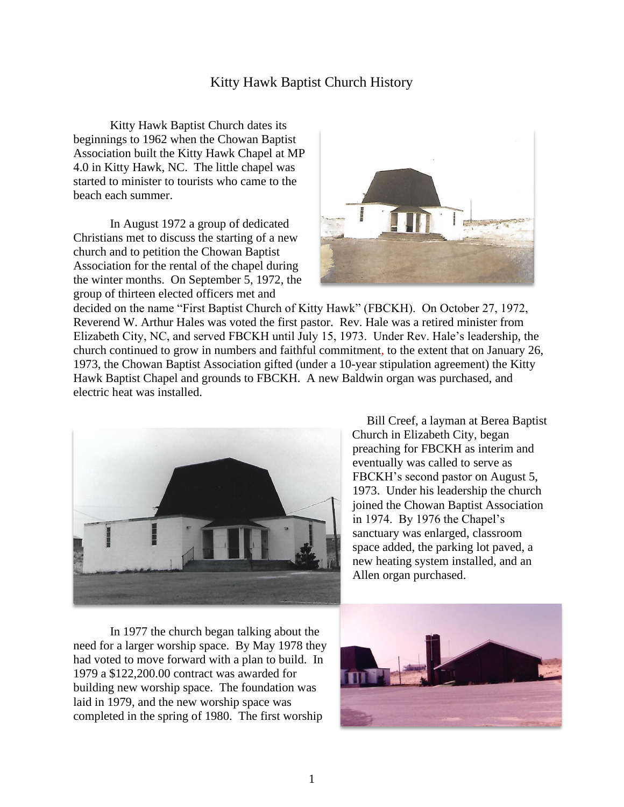## Kitty Hawk Baptist Church History

Kitty Hawk Baptist Church dates its beginnings to 1962 when the Chowan Baptist Association built the Kitty Hawk Chapel at MP 4.0 in Kitty Hawk, NC. The little chapel was started to minister to tourists who came to the beach each summer.

In August 1972 a group of dedicated Christians met to discuss the starting of a new church and to petition the Chowan Baptist Association for the rental of the chapel during the winter months. On September 5, 1972, the group of thirteen elected officers met and



decided on the name "First Baptist Church of Kitty Hawk" (FBCKH). On October 27, 1972, Reverend W. Arthur Hales was voted the first pastor. Rev. Hale was a retired minister from Elizabeth City, NC, and served FBCKH until July 15, 1973. Under Rev. Hale's leadership, the church continued to grow in numbers and faithful commitment, to the extent that on January 26, 1973, the Chowan Baptist Association gifted (under a 10-year stipulation agreement) the Kitty Hawk Baptist Chapel and grounds to FBCKH. A new Baldwin organ was purchased, and electric heat was installed.



Bill Creef, a layman at Berea Baptist Church in Elizabeth City, began preaching for FBCKH as interim and eventually was called to serve as FBCKH's second pastor on August 5, 1973. Under his leadership the church joined the Chowan Baptist Association in 1974. By 1976 the Chapel's sanctuary was enlarged, classroom space added, the parking lot paved, a new heating system installed, and an Allen organ purchased.

In 1977 the church began talking about the need for a larger worship space. By May 1978 they had voted to move forward with a plan to build. In 1979 a \$122,200.00 contract was awarded for building new worship space. The foundation was laid in 1979, and the new worship space was completed in the spring of 1980. The first worship

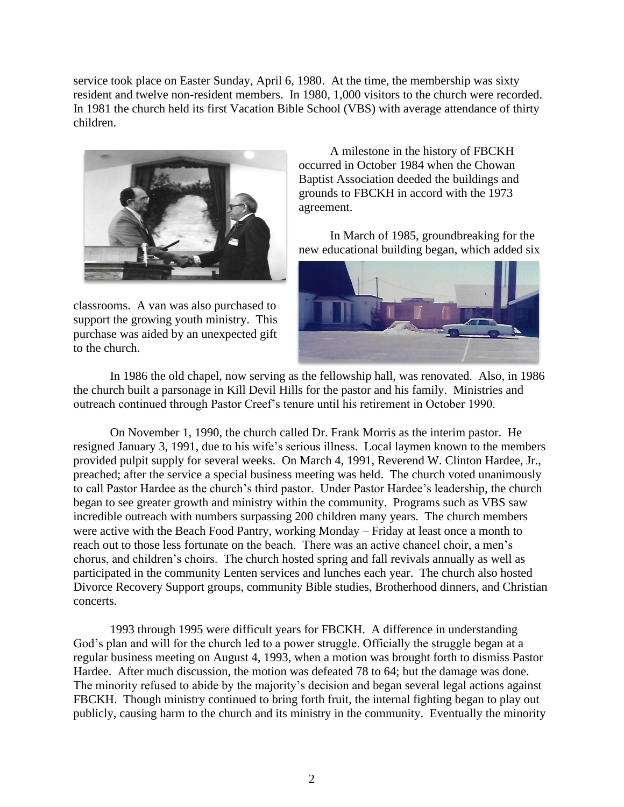service took place on Easter Sunday, April 6, 1980. At the time, the membership was sixty resident and twelve non-resident members. In 1980, 1,000 visitors to the church were recorded. In 1981 the church held its first Vacation Bible School (VBS) with average attendance of thirty children.



classrooms. A van was also purchased to support the growing youth ministry. This purchase was aided by an unexpected gift to the church.

A milestone in the history of FBCKH occurred in October 1984 when the Chowan Baptist Association deeded the buildings and grounds to FBCKH in accord with the 1973 agreement.

In March of 1985, groundbreaking for the new educational building began, which added six



In 1986 the old chapel, now serving as the fellowship hall, was renovated. Also, in 1986 the church built a parsonage in Kill Devil Hills for the pastor and his family. Ministries and outreach continued through Pastor Creef's tenure until his retirement in October 1990.

On November 1, 1990, the church called Dr. Frank Morris as the interim pastor. He resigned January 3, 1991, due to his wife's serious illness. Local laymen known to the members provided pulpit supply for several weeks. On March 4, 1991, Reverend W. Clinton Hardee, Jr., preached; after the service a special business meeting was held. The church voted unanimously to call Pastor Hardee as the church's third pastor. Under Pastor Hardee's leadership, the church began to see greater growth and ministry within the community. Programs such as VBS saw incredible outreach with numbers surpassing 200 children many years. The church members were active with the Beach Food Pantry, working Monday – Friday at least once a month to reach out to those less fortunate on the beach. There was an active chancel choir, a men's chorus, and children's choirs. The church hosted spring and fall revivals annually as well as participated in the community Lenten services and lunches each year. The church also hosted Divorce Recovery Support groups, community Bible studies, Brotherhood dinners, and Christian concerts.

1993 through 1995 were difficult years for FBCKH. A difference in understanding God's plan and will for the church led to a power struggle. Officially the struggle began at a regular business meeting on August 4, 1993, when a motion was brought forth to dismiss Pastor Hardee. After much discussion, the motion was defeated 78 to 64; but the damage was done. The minority refused to abide by the majority's decision and began several legal actions against FBCKH. Though ministry continued to bring forth fruit, the internal fighting began to play out publicly, causing harm to the church and its ministry in the community. Eventually the minority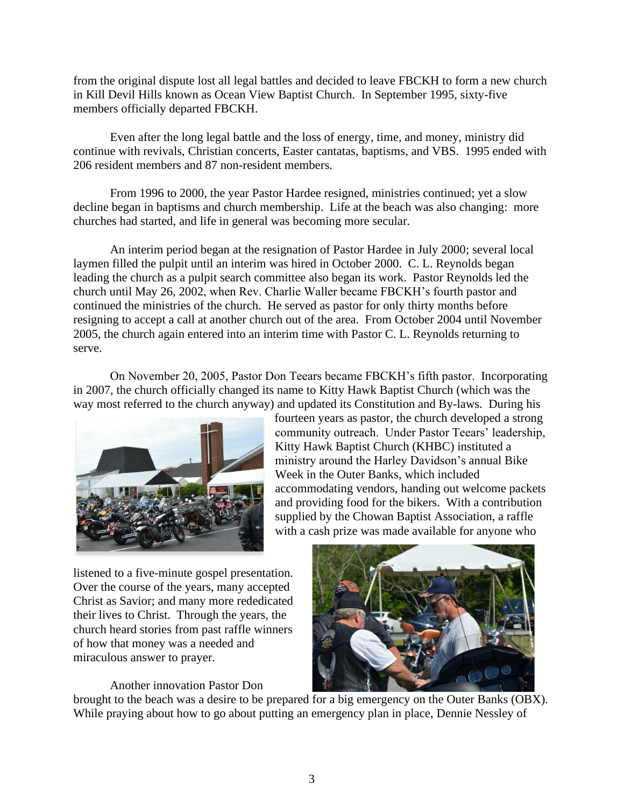from the original dispute lost all legal battles and decided to leave FBCKH to form a new church in Kill Devil Hills known as Ocean View Baptist Church. In September 1995, sixty-five members officially departed FBCKH.

Even after the long legal battle and the loss of energy, time, and money, ministry did continue with revivals, Christian concerts, Easter cantatas, baptisms, and VBS. 1995 ended with 206 resident members and 87 non-resident members.

From 1996 to 2000, the year Pastor Hardee resigned, ministries continued; yet a slow decline began in baptisms and church membership. Life at the beach was also changing: more churches had started, and life in general was becoming more secular.

An interim period began at the resignation of Pastor Hardee in July 2000; several local laymen filled the pulpit until an interim was hired in October 2000. C. L. Reynolds began leading the church as a pulpit search committee also began its work. Pastor Reynolds led the church until May 26, 2002, when Rev. Charlie Waller became FBCKH's fourth pastor and continued the ministries of the church. He served as pastor for only thirty months before resigning to accept a call at another church out of the area. From October 2004 until November 2005, the church again entered into an interim time with Pastor C. L. Reynolds returning to serve.

On November 20, 2005, Pastor Don Teears became FBCKH's fifth pastor. Incorporating in 2007, the church officially changed its name to Kitty Hawk Baptist Church (which was the way most referred to the church anyway) and updated its Constitution and By-laws. During his



fourteen years as pastor, the church developed a strong community outreach. Under Pastor Teears' leadership, Kitty Hawk Baptist Church (KHBC) instituted a ministry around the Harley Davidson's annual Bike Week in the Outer Banks, which included accommodating vendors, handing out welcome packets and providing food for the bikers. With a contribution supplied by the Chowan Baptist Association, a raffle with a cash prize was made available for anyone who

listened to a five-minute gospel presentation. Over the course of the years, many accepted Christ as Savior; and many more rededicated their lives to Christ. Through the years, the church heard stories from past raffle winners of how that money was a needed and miraculous answer to prayer.

Another innovation Pastor Don



brought to the beach was a desire to be prepared for a big emergency on the Outer Banks (OBX). While praying about how to go about putting an emergency plan in place, Dennie Nessley of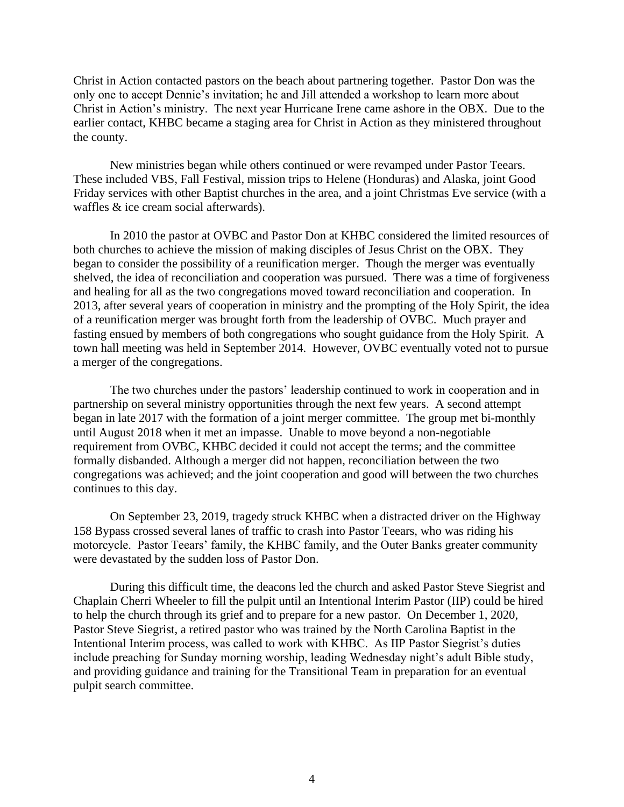Christ in Action contacted pastors on the beach about partnering together. Pastor Don was the only one to accept Dennie's invitation; he and Jill attended a workshop to learn more about Christ in Action's ministry. The next year Hurricane Irene came ashore in the OBX. Due to the earlier contact, KHBC became a staging area for Christ in Action as they ministered throughout the county.

New ministries began while others continued or were revamped under Pastor Teears. These included VBS, Fall Festival, mission trips to Helene (Honduras) and Alaska, joint Good Friday services with other Baptist churches in the area, and a joint Christmas Eve service (with a waffles & ice cream social afterwards).

In 2010 the pastor at OVBC and Pastor Don at KHBC considered the limited resources of both churches to achieve the mission of making disciples of Jesus Christ on the OBX. They began to consider the possibility of a reunification merger. Though the merger was eventually shelved, the idea of reconciliation and cooperation was pursued. There was a time of forgiveness and healing for all as the two congregations moved toward reconciliation and cooperation. In 2013, after several years of cooperation in ministry and the prompting of the Holy Spirit, the idea of a reunification merger was brought forth from the leadership of OVBC. Much prayer and fasting ensued by members of both congregations who sought guidance from the Holy Spirit. A town hall meeting was held in September 2014. However, OVBC eventually voted not to pursue a merger of the congregations.

The two churches under the pastors' leadership continued to work in cooperation and in partnership on several ministry opportunities through the next few years. A second attempt began in late 2017 with the formation of a joint merger committee. The group met bi-monthly until August 2018 when it met an impasse. Unable to move beyond a non-negotiable requirement from OVBC, KHBC decided it could not accept the terms; and the committee formally disbanded. Although a merger did not happen, reconciliation between the two congregations was achieved; and the joint cooperation and good will between the two churches continues to this day.

On September 23, 2019, tragedy struck KHBC when a distracted driver on the Highway 158 Bypass crossed several lanes of traffic to crash into Pastor Teears, who was riding his motorcycle. Pastor Teears' family, the KHBC family, and the Outer Banks greater community were devastated by the sudden loss of Pastor Don.

During this difficult time, the deacons led the church and asked Pastor Steve Siegrist and Chaplain Cherri Wheeler to fill the pulpit until an Intentional Interim Pastor (IIP) could be hired to help the church through its grief and to prepare for a new pastor. On December 1, 2020, Pastor Steve Siegrist, a retired pastor who was trained by the North Carolina Baptist in the Intentional Interim process, was called to work with KHBC. As IIP Pastor Siegrist's duties include preaching for Sunday morning worship, leading Wednesday night's adult Bible study, and providing guidance and training for the Transitional Team in preparation for an eventual pulpit search committee.